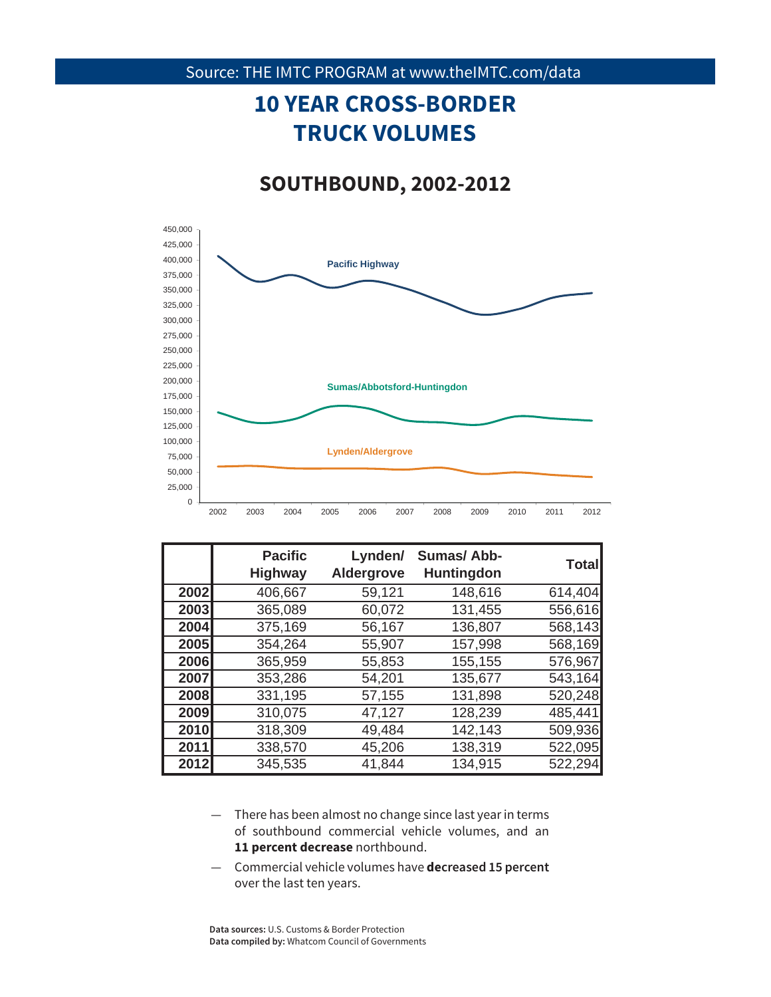# **10 YEAR CROSS-BORDER TRUCK VOLUMES**

### **SOUTHBOUND, 2002-2012**



|      | <b>Pacific</b><br><b>Highway</b> | Lynden/<br>Aldergrove | <b>Sumas/Abb-</b><br><b>Huntingdon</b> | <b>Total</b> |
|------|----------------------------------|-----------------------|----------------------------------------|--------------|
| 2002 | 406,667                          | 59,121                | 148,616                                | 614,404      |
| 2003 | 365,089                          | 60,072                | 131,455                                | 556,616      |
| 2004 | 375,169                          | 56,167                | 136,807                                | 568,143      |
| 2005 | 354,264                          | 55,907                | 157,998                                | 568,169      |
| 2006 | 365,959                          | 55,853                | 155,155                                | 576,967      |
| 2007 | 353,286                          | 54,201                | 135,677                                | 543,164      |
| 2008 | 331,195                          | 57,155                | 131,898                                | 520,248      |
| 2009 | 310,075                          | 47,127                | 128,239                                | 485,441      |
| 2010 | 318,309                          | 49,484                | 142,143                                | 509,936      |
| 2011 | 338,570                          | 45,206                | 138,319                                | 522,095      |
| 2012 | 345,535                          | 41,844                | 134,915                                | 522,294      |

- 11 percent decrease northbound. — There has been almost no change since last year in terms of southbound commercial vehicle volumes, and an
- Commercial vehicle volumes have **decreased 15 percent**  over the last ten years.